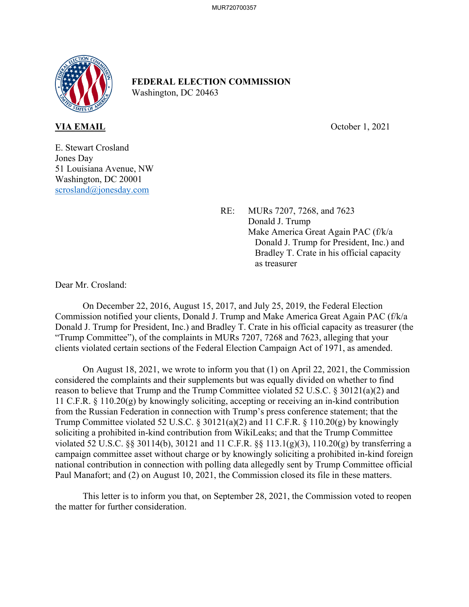

**FEDERAL ELECTION COMMISSION**  Washington, DC 20463

**VIA EMAIL** October 1, 2021

E. Stewart Crosland Jones Day 51 Louisiana Avenue, NW Washington, DC 20001 scrosland@jonesday.com

> RE: MURs 7207, 7268, and 7623 Donald J. Trump Make America Great Again PAC (f/k/a Donald J. Trump for President, Inc.) and Bradley T. Crate in his official capacity as treasurer

Dear Mr. Crosland:

 On December 22, 2016, August 15, 2017, and July 25, 2019, the Federal Election Commission notified your clients, Donald J. Trump and Make America Great Again PAC (f/k/a Donald J. Trump for President, Inc.) and Bradley T. Crate in his official capacity as treasurer (the "Trump Committee"), of the complaints in MURs 7207, 7268 and 7623, alleging that your clients violated certain sections of the Federal Election Campaign Act of 1971, as amended.

 On August 18, 2021, we wrote to inform you that (1) on April 22, 2021, the Commission considered the complaints and their supplements but was equally divided on whether to find reason to believe that Trump and the Trump Committee violated 52 U.S.C. § 30121(a)(2) and 11 C.F.R. § 110.20(g) by knowingly soliciting, accepting or receiving an in-kind contribution from the Russian Federation in connection with Trump's press conference statement; that the Trump Committee violated 52 U.S.C. § 30121(a)(2) and 11 C.F.R. § 110.20(g) by knowingly soliciting a prohibited in-kind contribution from WikiLeaks; and that the Trump Committee violated 52 U.S.C. §§ 30114(b), 30121 and 11 C.F.R. §§ 113.1(g)(3), 110.20(g) by transferring a campaign committee asset without charge or by knowingly soliciting a prohibited in-kind foreign national contribution in connection with polling data allegedly sent by Trump Committee official Paul Manafort; and (2) on August 10, 2021, the Commission closed its file in these matters.

 This letter is to inform you that, on September 28, 2021, the Commission voted to reopen the matter for further consideration.